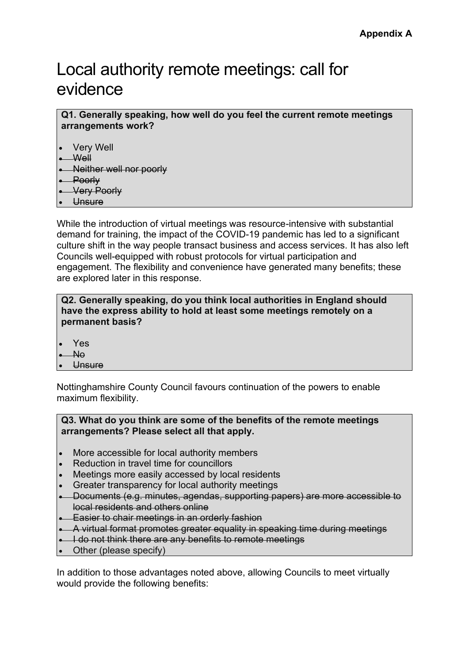# Local authority remote meetings: call for evidence

**Q1. Generally speaking, how well do you feel the current remote meetings arrangements work?**

- **Very Well**
- $-Well$
- Neither well nor poorly
- Poorly
- Very Poorly
- Unsure

While the introduction of virtual meetings was resource-intensive with substantial demand for training, the impact of the COVID-19 pandemic has led to a significant culture shift in the way people transact business and access services. It has also left Councils well-equipped with robust protocols for virtual participation and engagement. The flexibility and convenience have generated many benefits; these are explored later in this response.

**Q2. Generally speaking, do you think local authorities in England should have the express ability to hold at least some meetings remotely on a permanent basis?**

- Yes
- No
- **Unsure**

Nottinghamshire County Council favours continuation of the powers to enable maximum flexibility.

**Q3. What do you think are some of the benefits of the remote meetings arrangements? Please select all that apply.**

- More accessible for local authority members
- Reduction in travel time for councillors
- Meetings more easily accessed by local residents
- Greater transparency for local authority meetings
- Documents (e.g. minutes, agendas, supporting papers) are more accessible to local residents and others online
- **Easier to chair meetings in an orderly fashion**
- A virtual format promotes greater equality in speaking time during meetings
- I do not think there are any benefits to remote meetings
- Other (please specify)

In addition to those advantages noted above, allowing Councils to meet virtually would provide the following benefits: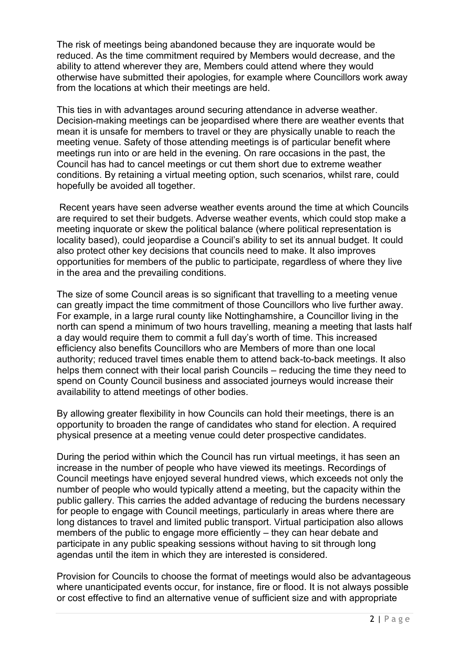The risk of meetings being abandoned because they are inquorate would be reduced. As the time commitment required by Members would decrease, and the ability to attend wherever they are, Members could attend where they would otherwise have submitted their apologies, for example where Councillors work away from the locations at which their meetings are held.

This ties in with advantages around securing attendance in adverse weather. Decision-making meetings can be jeopardised where there are weather events that mean it is unsafe for members to travel or they are physically unable to reach the meeting venue. Safety of those attending meetings is of particular benefit where meetings run into or are held in the evening. On rare occasions in the past, the Council has had to cancel meetings or cut them short due to extreme weather conditions. By retaining a virtual meeting option, such scenarios, whilst rare, could hopefully be avoided all together.

Recent years have seen adverse weather events around the time at which Councils are required to set their budgets. Adverse weather events, which could stop make a meeting inquorate or skew the political balance (where political representation is locality based), could jeopardise a Council's ability to set its annual budget. It could also protect other key decisions that councils need to make. It also improves opportunities for members of the public to participate, regardless of where they live in the area and the prevailing conditions.

The size of some Council areas is so significant that travelling to a meeting venue can greatly impact the time commitment of those Councillors who live further away. For example, in a large rural county like Nottinghamshire, a Councillor living in the north can spend a minimum of two hours travelling, meaning a meeting that lasts half a day would require them to commit a full day's worth of time. This increased efficiency also benefits Councillors who are Members of more than one local authority; reduced travel times enable them to attend back-to-back meetings. It also helps them connect with their local parish Councils – reducing the time they need to spend on County Council business and associated journeys would increase their availability to attend meetings of other bodies.

By allowing greater flexibility in how Councils can hold their meetings, there is an opportunity to broaden the range of candidates who stand for election. A required physical presence at a meeting venue could deter prospective candidates.

During the period within which the Council has run virtual meetings, it has seen an increase in the number of people who have viewed its meetings. Recordings of Council meetings have enjoyed several hundred views, which exceeds not only the number of people who would typically attend a meeting, but the capacity within the public gallery. This carries the added advantage of reducing the burdens necessary for people to engage with Council meetings, particularly in areas where there are long distances to travel and limited public transport. Virtual participation also allows members of the public to engage more efficiently – they can hear debate and participate in any public speaking sessions without having to sit through long agendas until the item in which they are interested is considered.

Provision for Councils to choose the format of meetings would also be advantageous where unanticipated events occur, for instance, fire or flood. It is not always possible or cost effective to find an alternative venue of sufficient size and with appropriate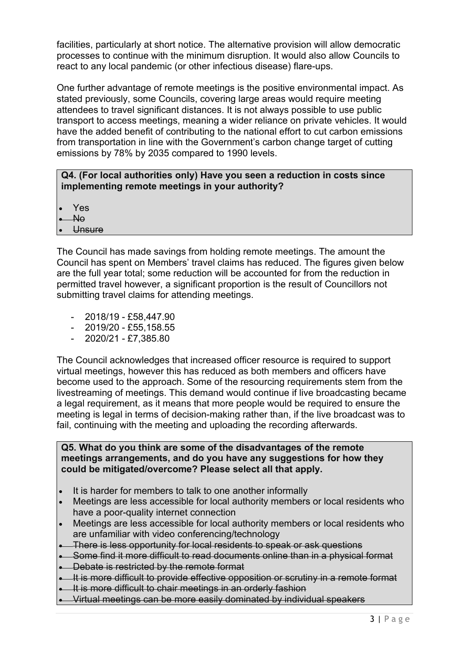facilities, particularly at short notice. The alternative provision will allow democratic processes to continue with the minimum disruption. It would also allow Councils to react to any local pandemic (or other infectious disease) flare-ups.

One further advantage of remote meetings is the positive environmental impact. As stated previously, some Councils, covering large areas would require meeting attendees to travel significant distances. It is not always possible to use public transport to access meetings, meaning a wider reliance on private vehicles. It would have the added benefit of contributing to the national effort to cut carbon emissions from transportation in line with the Government's carbon change target of cutting emissions by 78% by 2035 compared to 1990 levels.

# **Q4. (For local authorities only) Have you seen a reduction in costs since implementing remote meetings in your authority?**

- Yes
- No
- Unsure

The Council has made savings from holding remote meetings. The amount the Council has spent on Members' travel claims has reduced. The figures given below are the full year total; some reduction will be accounted for from the reduction in permitted travel however, a significant proportion is the result of Councillors not submitting travel claims for attending meetings.

- 2018/19 £58,447.90
- 2019/20 £55,158.55
- 2020/21 £7,385.80

The Council acknowledges that increased officer resource is required to support virtual meetings, however this has reduced as both members and officers have become used to the approach. Some of the resourcing requirements stem from the livestreaming of meetings. This demand would continue if live broadcasting became a legal requirement, as it means that more people would be required to ensure the meeting is legal in terms of decision-making rather than, if the live broadcast was to fail, continuing with the meeting and uploading the recording afterwards.

#### **Q5. What do you think are some of the disadvantages of the remote meetings arrangements, and do you have any suggestions for how they could be mitigated/overcome? Please select all that apply.**

- It is harder for members to talk to one another informally
- Meetings are less accessible for local authority members or local residents who have a poor-quality internet connection
- Meetings are less accessible for local authority members or local residents who are unfamiliar with video conferencing/technology
- There is less opportunity for local residents to speak or ask questions
- Some find it more difficult to read documents online than in a physical format
- Debate is restricted by the remote format
- **It is more difficult to provide effective opposition or scrutiny in a remote format**
- It is more difficult to chair meetings in an orderly fashion
- Virtual meetings can be more easily dominated by individual speakers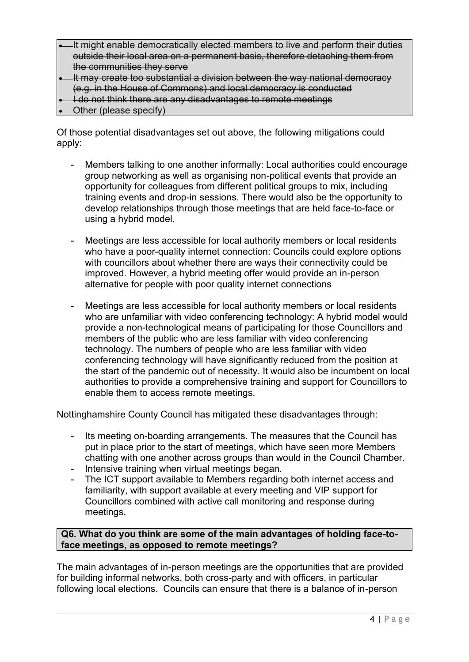- It might enable democratically elected members to live and perform their duties outside their local area on a permanent basis, therefore detaching them from the communities they serve
- It may create too substantial a division between the way national democracy (e.g. in the House of Commons) and local democracy is conducted
- I do not think there are any disadvantages to remote meetings
- Other (please specify)

Of those potential disadvantages set out above, the following mitigations could apply:

- Members talking to one another informally: Local authorities could encourage group networking as well as organising non-political events that provide an opportunity for colleagues from different political groups to mix, including training events and drop-in sessions. There would also be the opportunity to develop relationships through those meetings that are held face-to-face or using a hybrid model.
- Meetings are less accessible for local authority members or local residents who have a poor-quality internet connection: Councils could explore options with councillors about whether there are ways their connectivity could be improved. However, a hybrid meeting offer would provide an in-person alternative for people with poor quality internet connections
- Meetings are less accessible for local authority members or local residents who are unfamiliar with video conferencing technology: A hybrid model would provide a non-technological means of participating for those Councillors and members of the public who are less familiar with video conferencing technology. The numbers of people who are less familiar with video conferencing technology will have significantly reduced from the position at the start of the pandemic out of necessity. It would also be incumbent on local authorities to provide a comprehensive training and support for Councillors to enable them to access remote meetings.

Nottinghamshire County Council has mitigated these disadvantages through:

- Its meeting on-boarding arrangements. The measures that the Council has put in place prior to the start of meetings, which have seen more Members chatting with one another across groups than would in the Council Chamber. - Intensive training when virtual meetings began.
- The ICT support available to Members regarding both internet access and
- familiarity, with support available at every meeting and VIP support for Councillors combined with active call monitoring and response during meetings.

# **Q6. What do you think are some of the main advantages of holding face-toface meetings, as opposed to remote meetings?**

The main advantages of in-person meetings are the opportunities that are provided for building informal networks, both cross-party and with officers, in particular following local elections. Councils can ensure that there is a balance of in-person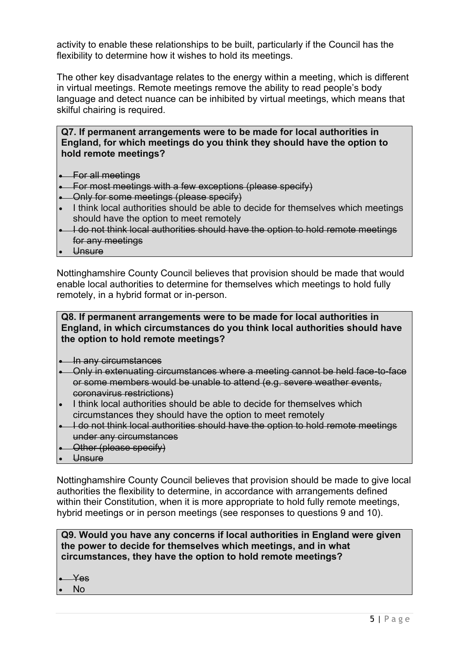activity to enable these relationships to be built, particularly if the Council has the flexibility to determine how it wishes to hold its meetings.

The other key disadvantage relates to the energy within a meeting, which is different in virtual meetings. Remote meetings remove the ability to read people's body language and detect nuance can be inhibited by virtual meetings, which means that skilful chairing is required.

# **Q7. If permanent arrangements were to be made for local authorities in England, for which meetings do you think they should have the option to hold remote meetings?**

- For all meetings
- For most meetings with a few exceptions (please specify)
- Only for some meetings (please specify)
- I think local authorities should be able to decide for themselves which meetings should have the option to meet remotely
- I do not think local authorities should have the option to hold remote meetings for any meetings
- Unsure

Nottinghamshire County Council believes that provision should be made that would enable local authorities to determine for themselves which meetings to hold fully remotely, in a hybrid format or in-person.

## **Q8. If permanent arrangements were to be made for local authorities in England, in which circumstances do you think local authorities should have the option to hold remote meetings?**

- In any circumstances
- Only in extenuating circumstances where a meeting cannot be held face-to-face or some members would be unable to attend (e.g. severe weather events, coronavirus restrictions)
- I think local authorities should be able to decide for themselves which circumstances they should have the option to meet remotely
- I do not think local authorities should have the option to hold remote meetings under any circumstances
- **Other (please specify)**
- Unsure

Nottinghamshire County Council believes that provision should be made to give local authorities the flexibility to determine, in accordance with arrangements defined within their Constitution, when it is more appropriate to hold fully remote meetings, hybrid meetings or in person meetings (see responses to questions 9 and 10).

# **Q9. Would you have any concerns if local authorities in England were given the power to decide for themselves which meetings, and in what circumstances, they have the option to hold remote meetings?**

- $-$ Yes
- No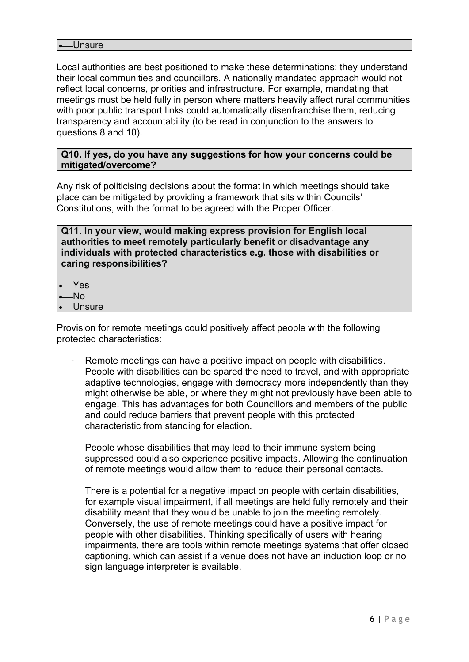Local authorities are best positioned to make these determinations; they understand their local communities and councillors. A nationally mandated approach would not reflect local concerns, priorities and infrastructure. For example, mandating that meetings must be held fully in person where matters heavily affect rural communities with poor public transport links could automatically disenfranchise them, reducing transparency and accountability (to be read in conjunction to the answers to questions 8 and 10).

#### **Q10. If yes, do you have any suggestions for how your concerns could be mitigated/overcome?**

Any risk of politicising decisions about the format in which meetings should take place can be mitigated by providing a framework that sits within Councils' Constitutions, with the format to be agreed with the Proper Officer.

**Q11. In your view, would making express provision for English local authorities to meet remotely particularly benefit or disadvantage any individuals with protected characteristics e.g. those with disabilities or caring responsibilities?**

- Yes
- No
- **Unsure**

Provision for remote meetings could positively affect people with the following protected characteristics:

Remote meetings can have a positive impact on people with disabilities. People with disabilities can be spared the need to travel, and with appropriate adaptive technologies, engage with democracy more independently than they might otherwise be able, or where they might not previously have been able to engage. This has advantages for both Councillors and members of the public and could reduce barriers that prevent people with this protected characteristic from standing for election.

People whose disabilities that may lead to their immune system being suppressed could also experience positive impacts. Allowing the continuation of remote meetings would allow them to reduce their personal contacts.

There is a potential for a negative impact on people with certain disabilities, for example visual impairment, if all meetings are held fully remotely and their disability meant that they would be unable to join the meeting remotely. Conversely, the use of remote meetings could have a positive impact for people with other disabilities. Thinking specifically of users with hearing impairments, there are tools within remote meetings systems that offer closed captioning, which can assist if a venue does not have an induction loop or no sign language interpreter is available.